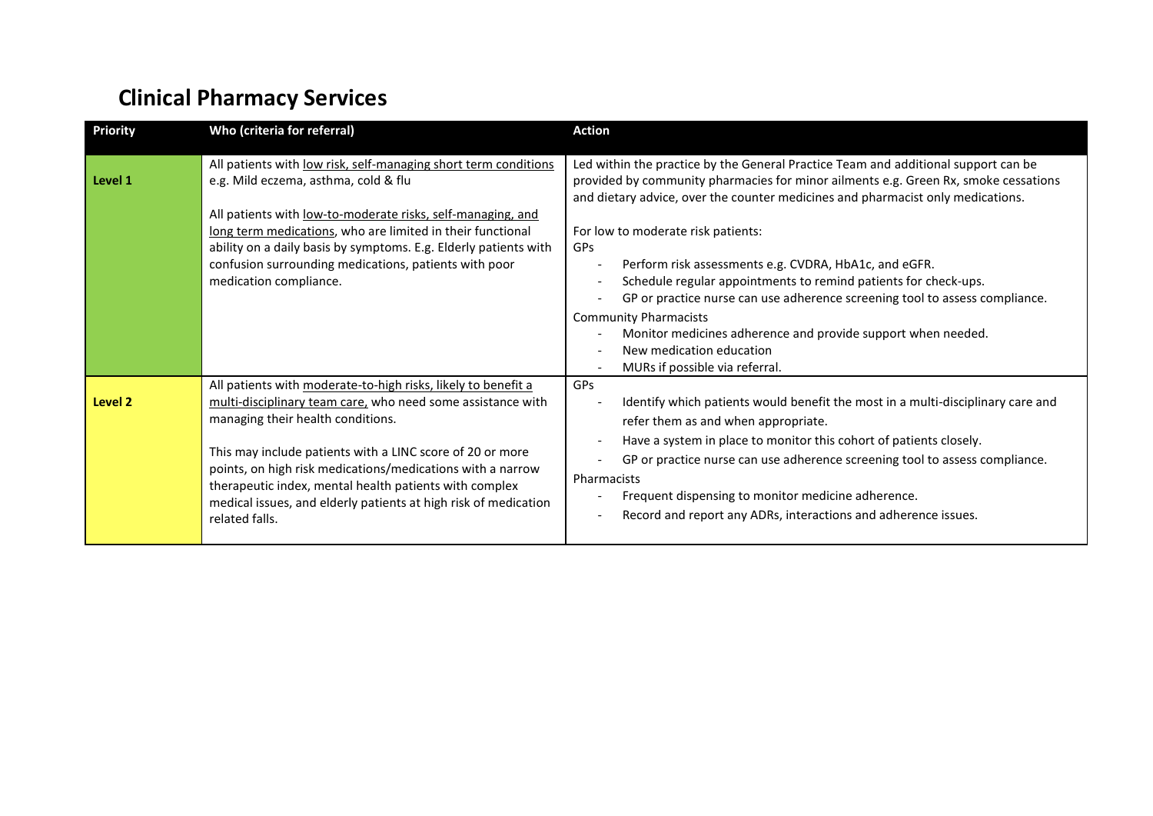## **Clinical Pharmacy Services**

| <b>Priority</b> | Who (criteria for referral)                                                                                                                                                                                                                                                                                                                                                                                                                 | <b>Action</b>                                                                                                                                                                                                                                                                                                                                                                                                                                                                                                                                                                                                                                                                                                   |
|-----------------|---------------------------------------------------------------------------------------------------------------------------------------------------------------------------------------------------------------------------------------------------------------------------------------------------------------------------------------------------------------------------------------------------------------------------------------------|-----------------------------------------------------------------------------------------------------------------------------------------------------------------------------------------------------------------------------------------------------------------------------------------------------------------------------------------------------------------------------------------------------------------------------------------------------------------------------------------------------------------------------------------------------------------------------------------------------------------------------------------------------------------------------------------------------------------|
| Level 1         | All patients with low risk, self-managing short term conditions<br>e.g. Mild eczema, asthma, cold & flu<br>All patients with low-to-moderate risks, self-managing, and<br>long term medications, who are limited in their functional<br>ability on a daily basis by symptoms. E.g. Elderly patients with<br>confusion surrounding medications, patients with poor<br>medication compliance.                                                 | Led within the practice by the General Practice Team and additional support can be<br>provided by community pharmacies for minor ailments e.g. Green Rx, smoke cessations<br>and dietary advice, over the counter medicines and pharmacist only medications.<br>For low to moderate risk patients:<br><b>GPs</b><br>Perform risk assessments e.g. CVDRA, HbA1c, and eGFR.<br>$\overline{\phantom{a}}$<br>Schedule regular appointments to remind patients for check-ups.<br>$\overline{\phantom{a}}$<br>GP or practice nurse can use adherence screening tool to assess compliance.<br><b>Community Pharmacists</b><br>Monitor medicines adherence and provide support when needed.<br>New medication education |
| Level 2         | All patients with moderate-to-high risks, likely to benefit a<br>multi-disciplinary team care, who need some assistance with<br>managing their health conditions.<br>This may include patients with a LINC score of 20 or more<br>points, on high risk medications/medications with a narrow<br>therapeutic index, mental health patients with complex<br>medical issues, and elderly patients at high risk of medication<br>related falls. | MURs if possible via referral.<br>GPs<br>Identify which patients would benefit the most in a multi-disciplinary care and<br>refer them as and when appropriate.<br>Have a system in place to monitor this cohort of patients closely.<br>$\overline{\phantom{a}}$<br>GP or practice nurse can use adherence screening tool to assess compliance.<br>Pharmacists<br>Frequent dispensing to monitor medicine adherence.<br>$\overline{\phantom{a}}$<br>Record and report any ADRs, interactions and adherence issues.                                                                                                                                                                                             |